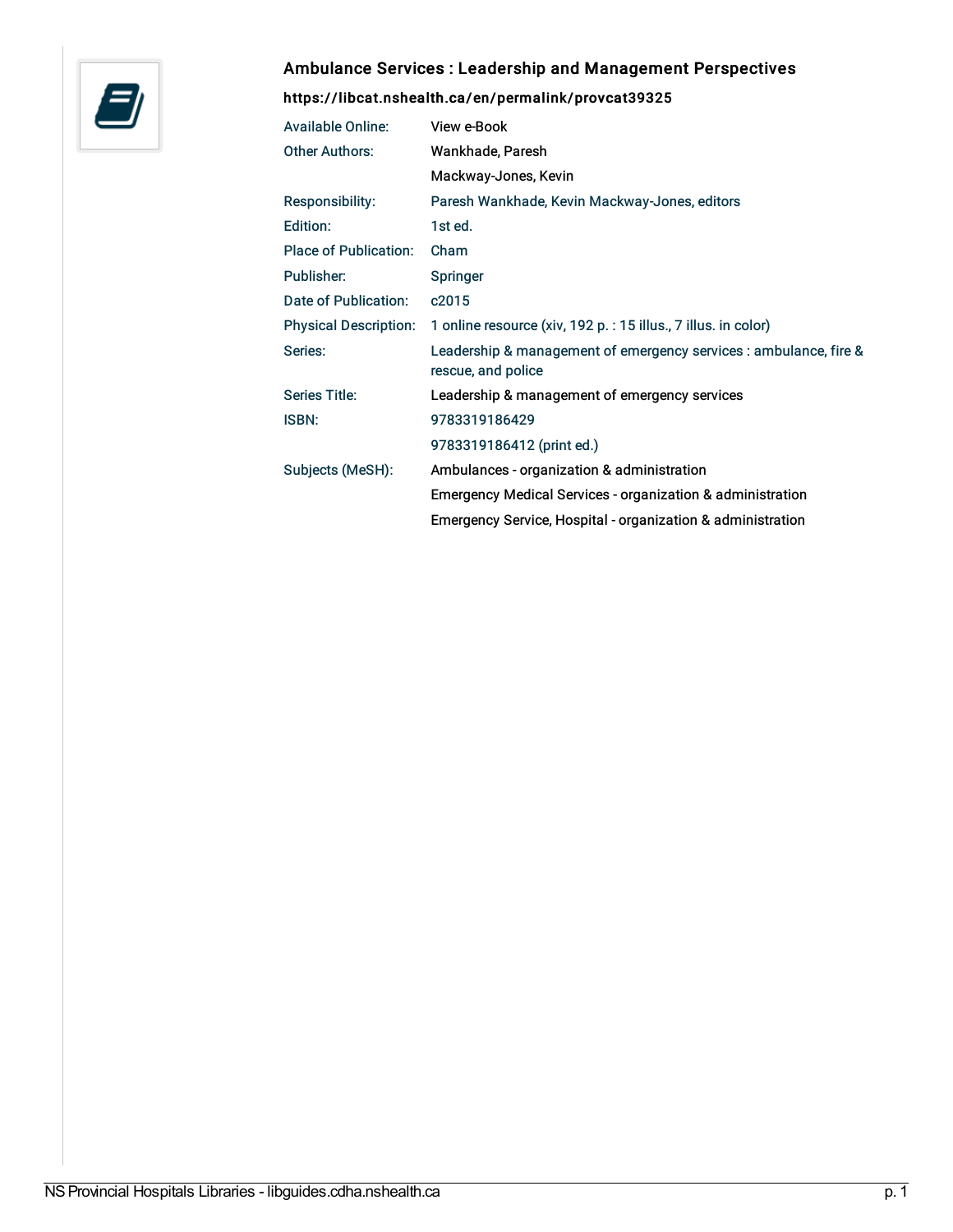

## Ambulance Services : Leadership and Management Perspectives

## <https://libcat.nshealth.ca/en/permalink/provcat39325>

| Available Online:            | View e-Book                                                                             |
|------------------------------|-----------------------------------------------------------------------------------------|
| <b>Other Authors:</b>        | Wankhade, Paresh                                                                        |
|                              | Mackway-Jones, Kevin                                                                    |
| <b>Responsibility:</b>       | Paresh Wankhade, Kevin Mackway-Jones, editors                                           |
| Edition:                     | 1st ed.                                                                                 |
| <b>Place of Publication:</b> | Cham                                                                                    |
| Publisher:                   | Springer                                                                                |
| Date of Publication:         | c2015                                                                                   |
| <b>Physical Description:</b> | 1 online resource (xiv, 192 p. : 15 illus., 7 illus. in color)                          |
| Series:                      | Leadership & management of emergency services : ambulance, fire &<br>rescue, and police |
| Series Title:                | Leadership & management of emergency services                                           |
| <b>ISBN:</b>                 | 9783319186429                                                                           |
|                              | 9783319186412 (print ed.)                                                               |
| Subjects (MeSH):             | Ambulances - organization & administration                                              |
|                              | <b>Emergency Medical Services - organization &amp; administration</b>                   |
|                              | Emergency Service, Hospital - organization & administration                             |